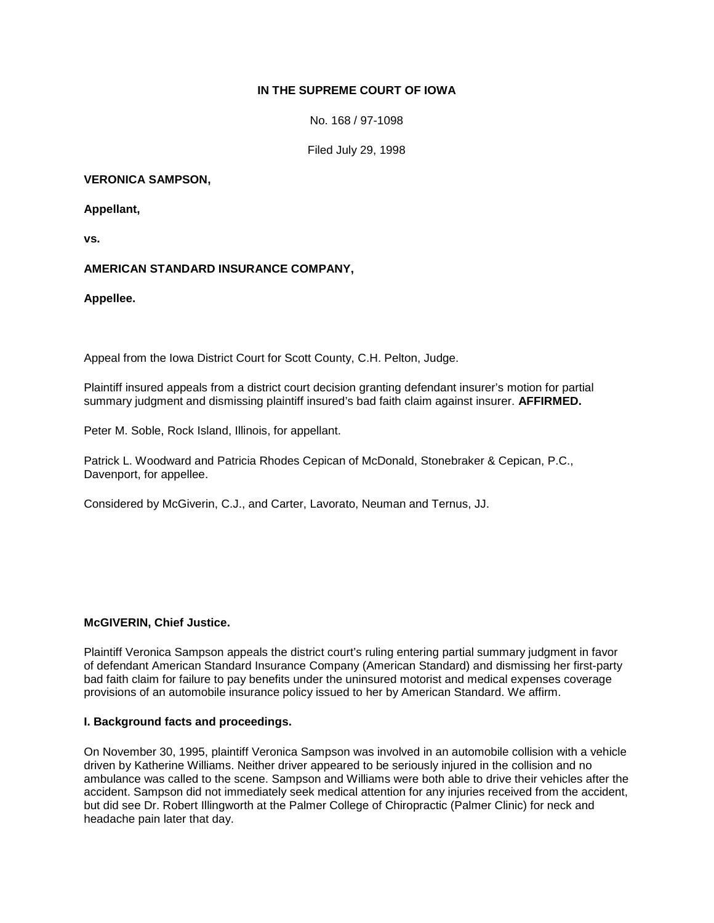# **IN THE SUPREME COURT OF IOWA**

No. 168 / 97-1098

Filed July 29, 1998

### **VERONICA SAMPSON,**

**Appellant,**

**vs.**

# **AMERICAN STANDARD INSURANCE COMPANY,**

**Appellee.** 

Appeal from the Iowa District Court for Scott County, C.H. Pelton, Judge.

Plaintiff insured appeals from a district court decision granting defendant insurer's motion for partial summary judgment and dismissing plaintiff insured's bad faith claim against insurer. **AFFIRMED.** 

Peter M. Soble, Rock Island, Illinois, for appellant.

Patrick L. Woodward and Patricia Rhodes Cepican of McDonald, Stonebraker & Cepican, P.C., Davenport, for appellee.

Considered by McGiverin, C.J., and Carter, Lavorato, Neuman and Ternus, JJ.

# **McGIVERIN, Chief Justice.**

Plaintiff Veronica Sampson appeals the district court's ruling entering partial summary judgment in favor of defendant American Standard Insurance Company (American Standard) and dismissing her first-party bad faith claim for failure to pay benefits under the uninsured motorist and medical expenses coverage provisions of an automobile insurance policy issued to her by American Standard. We affirm.

### **I. Background facts and proceedings.**

On November 30, 1995, plaintiff Veronica Sampson was involved in an automobile collision with a vehicle driven by Katherine Williams. Neither driver appeared to be seriously injured in the collision and no ambulance was called to the scene. Sampson and Williams were both able to drive their vehicles after the accident. Sampson did not immediately seek medical attention for any injuries received from the accident, but did see Dr. Robert Illingworth at the Palmer College of Chiropractic (Palmer Clinic) for neck and headache pain later that day.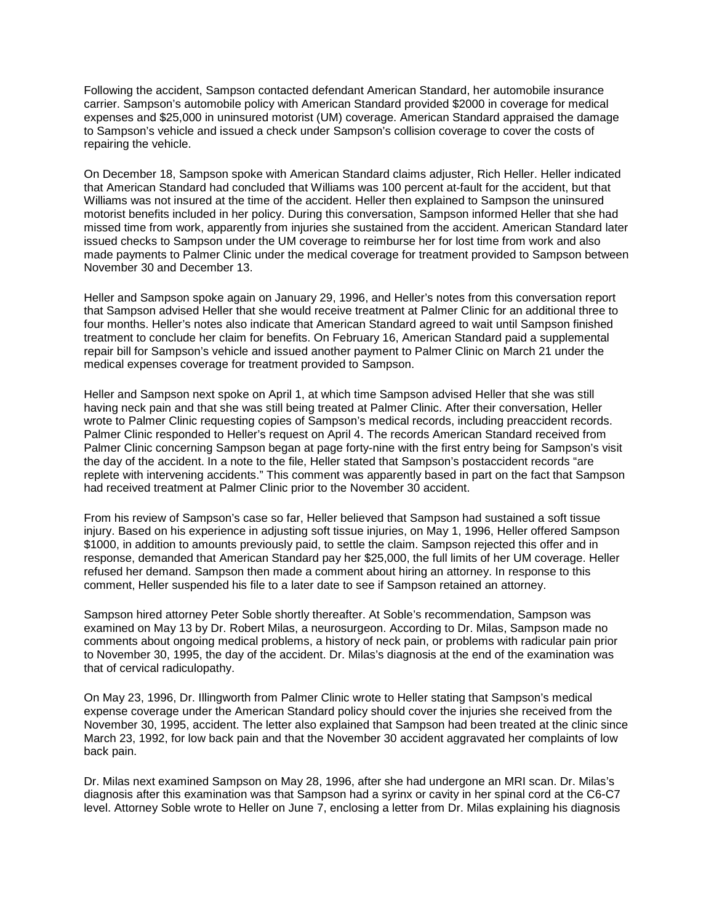Following the accident, Sampson contacted defendant American Standard, her automobile insurance carrier. Sampson's automobile policy with American Standard provided \$2000 in coverage for medical expenses and \$25,000 in uninsured motorist (UM) coverage. American Standard appraised the damage to Sampson's vehicle and issued a check under Sampson's collision coverage to cover the costs of repairing the vehicle.

On December 18, Sampson spoke with American Standard claims adjuster, Rich Heller. Heller indicated that American Standard had concluded that Williams was 100 percent at-fault for the accident, but that Williams was not insured at the time of the accident. Heller then explained to Sampson the uninsured motorist benefits included in her policy. During this conversation, Sampson informed Heller that she had missed time from work, apparently from injuries she sustained from the accident. American Standard later issued checks to Sampson under the UM coverage to reimburse her for lost time from work and also made payments to Palmer Clinic under the medical coverage for treatment provided to Sampson between November 30 and December 13.

Heller and Sampson spoke again on January 29, 1996, and Heller's notes from this conversation report that Sampson advised Heller that she would receive treatment at Palmer Clinic for an additional three to four months. Heller's notes also indicate that American Standard agreed to wait until Sampson finished treatment to conclude her claim for benefits. On February 16, American Standard paid a supplemental repair bill for Sampson's vehicle and issued another payment to Palmer Clinic on March 21 under the medical expenses coverage for treatment provided to Sampson.

Heller and Sampson next spoke on April 1, at which time Sampson advised Heller that she was still having neck pain and that she was still being treated at Palmer Clinic. After their conversation, Heller wrote to Palmer Clinic requesting copies of Sampson's medical records, including preaccident records. Palmer Clinic responded to Heller's request on April 4. The records American Standard received from Palmer Clinic concerning Sampson began at page forty-nine with the first entry being for Sampson's visit the day of the accident. In a note to the file, Heller stated that Sampson's postaccident records "are replete with intervening accidents." This comment was apparently based in part on the fact that Sampson had received treatment at Palmer Clinic prior to the November 30 accident.

From his review of Sampson's case so far, Heller believed that Sampson had sustained a soft tissue injury. Based on his experience in adjusting soft tissue injuries, on May 1, 1996, Heller offered Sampson \$1000, in addition to amounts previously paid, to settle the claim. Sampson rejected this offer and in response, demanded that American Standard pay her \$25,000, the full limits of her UM coverage. Heller refused her demand. Sampson then made a comment about hiring an attorney. In response to this comment, Heller suspended his file to a later date to see if Sampson retained an attorney.

Sampson hired attorney Peter Soble shortly thereafter. At Soble's recommendation, Sampson was examined on May 13 by Dr. Robert Milas, a neurosurgeon. According to Dr. Milas, Sampson made no comments about ongoing medical problems, a history of neck pain, or problems with radicular pain prior to November 30, 1995, the day of the accident. Dr. Milas's diagnosis at the end of the examination was that of cervical radiculopathy.

On May 23, 1996, Dr. Illingworth from Palmer Clinic wrote to Heller stating that Sampson's medical expense coverage under the American Standard policy should cover the injuries she received from the November 30, 1995, accident. The letter also explained that Sampson had been treated at the clinic since March 23, 1992, for low back pain and that the November 30 accident aggravated her complaints of low back pain.

Dr. Milas next examined Sampson on May 28, 1996, after she had undergone an MRI scan. Dr. Milas's diagnosis after this examination was that Sampson had a syrinx or cavity in her spinal cord at the C6-C7 level. Attorney Soble wrote to Heller on June 7, enclosing a letter from Dr. Milas explaining his diagnosis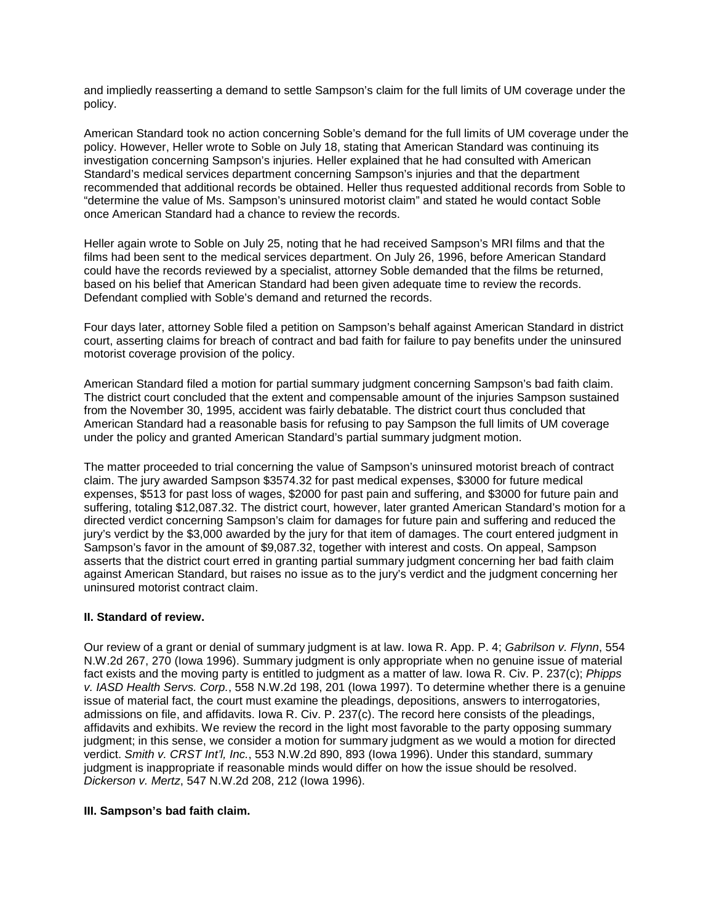and impliedly reasserting a demand to settle Sampson's claim for the full limits of UM coverage under the policy.

American Standard took no action concerning Soble's demand for the full limits of UM coverage under the policy. However, Heller wrote to Soble on July 18, stating that American Standard was continuing its investigation concerning Sampson's injuries. Heller explained that he had consulted with American Standard's medical services department concerning Sampson's injuries and that the department recommended that additional records be obtained. Heller thus requested additional records from Soble to "determine the value of Ms. Sampson's uninsured motorist claim" and stated he would contact Soble once American Standard had a chance to review the records.

Heller again wrote to Soble on July 25, noting that he had received Sampson's MRI films and that the films had been sent to the medical services department. On July 26, 1996, before American Standard could have the records reviewed by a specialist, attorney Soble demanded that the films be returned, based on his belief that American Standard had been given adequate time to review the records. Defendant complied with Soble's demand and returned the records.

Four days later, attorney Soble filed a petition on Sampson's behalf against American Standard in district court, asserting claims for breach of contract and bad faith for failure to pay benefits under the uninsured motorist coverage provision of the policy.

American Standard filed a motion for partial summary judgment concerning Sampson's bad faith claim. The district court concluded that the extent and compensable amount of the injuries Sampson sustained from the November 30, 1995, accident was fairly debatable. The district court thus concluded that American Standard had a reasonable basis for refusing to pay Sampson the full limits of UM coverage under the policy and granted American Standard's partial summary judgment motion.

The matter proceeded to trial concerning the value of Sampson's uninsured motorist breach of contract claim. The jury awarded Sampson \$3574.32 for past medical expenses, \$3000 for future medical expenses, \$513 for past loss of wages, \$2000 for past pain and suffering, and \$3000 for future pain and suffering, totaling \$12,087.32. The district court, however, later granted American Standard's motion for a directed verdict concerning Sampson's claim for damages for future pain and suffering and reduced the jury's verdict by the \$3,000 awarded by the jury for that item of damages. The court entered judgment in Sampson's favor in the amount of \$9,087.32, together with interest and costs. On appeal, Sampson asserts that the district court erred in granting partial summary judgment concerning her bad faith claim against American Standard, but raises no issue as to the jury's verdict and the judgment concerning her uninsured motorist contract claim.

### **II. Standard of review.**

Our review of a grant or denial of summary judgment is at law. Iowa R. App. P. 4; *Gabrilson v. Flynn*, 554 N.W.2d 267, 270 (Iowa 1996). Summary judgment is only appropriate when no genuine issue of material fact exists and the moving party is entitled to judgment as a matter of law. Iowa R. Civ. P. 237(c); *Phipps v. IASD Health Servs. Corp.*, 558 N.W.2d 198, 201 (Iowa 1997). To determine whether there is a genuine issue of material fact, the court must examine the pleadings, depositions, answers to interrogatories, admissions on file, and affidavits. Iowa R. Civ. P. 237(c). The record here consists of the pleadings, affidavits and exhibits. We review the record in the light most favorable to the party opposing summary judgment; in this sense, we consider a motion for summary judgment as we would a motion for directed verdict. *Smith v. CRST Int'l, Inc.*, 553 N.W.2d 890, 893 (Iowa 1996). Under this standard, summary judgment is inappropriate if reasonable minds would differ on how the issue should be resolved. *Dickerson v. Mertz*, 547 N.W.2d 208, 212 (Iowa 1996).

### **III. Sampson's bad faith claim.**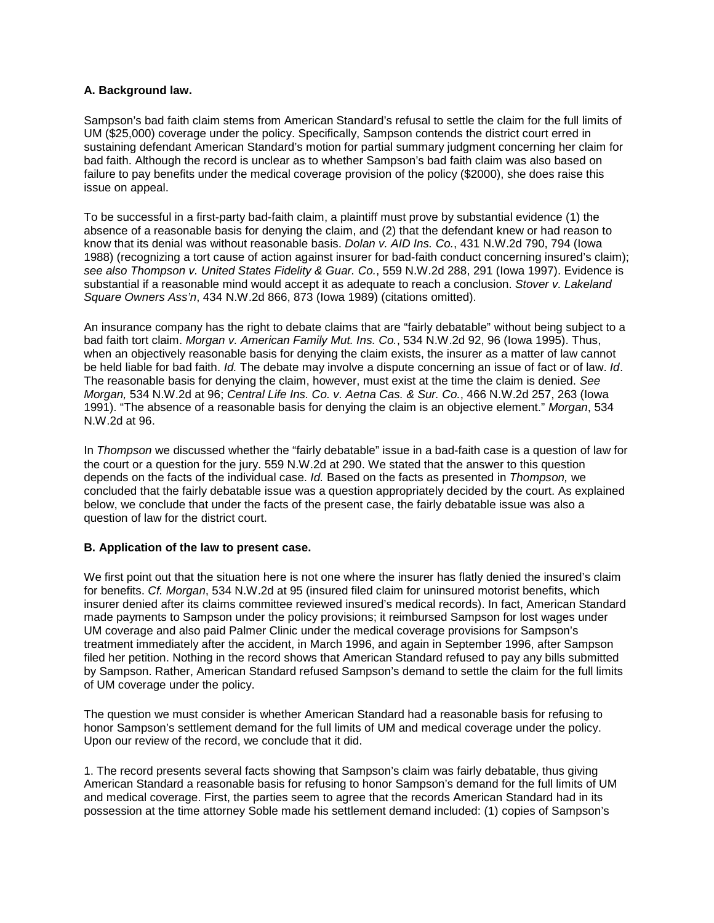## **A. Background law.**

Sampson's bad faith claim stems from American Standard's refusal to settle the claim for the full limits of UM (\$25,000) coverage under the policy. Specifically, Sampson contends the district court erred in sustaining defendant American Standard's motion for partial summary judgment concerning her claim for bad faith. Although the record is unclear as to whether Sampson's bad faith claim was also based on failure to pay benefits under the medical coverage provision of the policy (\$2000), she does raise this issue on appeal.

To be successful in a first-party bad-faith claim, a plaintiff must prove by substantial evidence (1) the absence of a reasonable basis for denying the claim, and (2) that the defendant knew or had reason to know that its denial was without reasonable basis. *Dolan v. AID Ins. Co.*, 431 N.W.2d 790, 794 (Iowa 1988) (recognizing a tort cause of action against insurer for bad-faith conduct concerning insured's claim); *see also Thompson v. United States Fidelity & Guar. Co.*, 559 N.W.2d 288, 291 (Iowa 1997). Evidence is substantial if a reasonable mind would accept it as adequate to reach a conclusion. *Stover v. Lakeland Square Owners Ass'n*, 434 N.W.2d 866, 873 (Iowa 1989) (citations omitted).

An insurance company has the right to debate claims that are "fairly debatable" without being subject to a bad faith tort claim. *Morgan v. American Family Mut. Ins. Co.*, 534 N.W.2d 92, 96 (Iowa 1995). Thus, when an objectively reasonable basis for denying the claim exists, the insurer as a matter of law cannot be held liable for bad faith. *Id.* The debate may involve a dispute concerning an issue of fact or of law. *Id*. The reasonable basis for denying the claim, however, must exist at the time the claim is denied. *See Morgan,* 534 N.W.2d at 96; *Central Life Ins. Co. v. Aetna Cas. & Sur. Co.*, 466 N.W.2d 257, 263 (Iowa 1991). "The absence of a reasonable basis for denying the claim is an objective element." *Morgan*, 534 N.W.2d at 96.

In *Thompson* we discussed whether the "fairly debatable" issue in a bad-faith case is a question of law for the court or a question for the jury. 559 N.W.2d at 290. We stated that the answer to this question depends on the facts of the individual case. *Id.* Based on the facts as presented in *Thompson,* we concluded that the fairly debatable issue was a question appropriately decided by the court. As explained below, we conclude that under the facts of the present case, the fairly debatable issue was also a question of law for the district court.

### **B. Application of the law to present case.**

We first point out that the situation here is not one where the insurer has flatly denied the insured's claim for benefits. *Cf. Morgan*, 534 N.W.2d at 95 (insured filed claim for uninsured motorist benefits, which insurer denied after its claims committee reviewed insured's medical records). In fact, American Standard made payments to Sampson under the policy provisions; it reimbursed Sampson for lost wages under UM coverage and also paid Palmer Clinic under the medical coverage provisions for Sampson's treatment immediately after the accident, in March 1996, and again in September 1996, after Sampson filed her petition. Nothing in the record shows that American Standard refused to pay any bills submitted by Sampson. Rather, American Standard refused Sampson's demand to settle the claim for the full limits of UM coverage under the policy.

The question we must consider is whether American Standard had a reasonable basis for refusing to honor Sampson's settlement demand for the full limits of UM and medical coverage under the policy. Upon our review of the record, we conclude that it did.

1. The record presents several facts showing that Sampson's claim was fairly debatable, thus giving American Standard a reasonable basis for refusing to honor Sampson's demand for the full limits of UM and medical coverage. First, the parties seem to agree that the records American Standard had in its possession at the time attorney Soble made his settlement demand included: (1) copies of Sampson's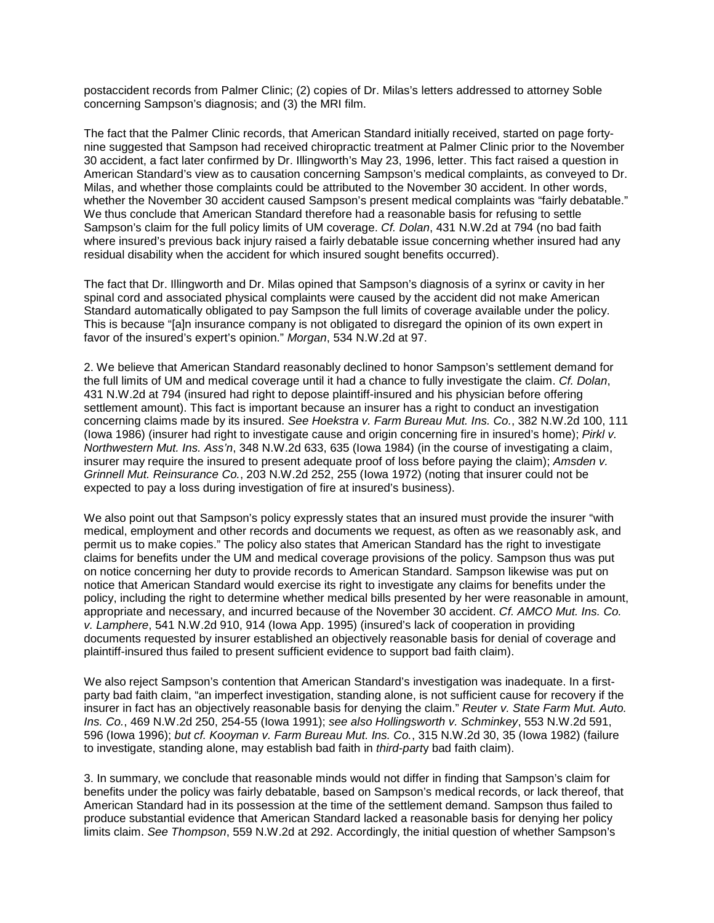postaccident records from Palmer Clinic; (2) copies of Dr. Milas's letters addressed to attorney Soble concerning Sampson's diagnosis; and (3) the MRI film.

The fact that the Palmer Clinic records, that American Standard initially received, started on page fortynine suggested that Sampson had received chiropractic treatment at Palmer Clinic prior to the November 30 accident, a fact later confirmed by Dr. Illingworth's May 23, 1996, letter. This fact raised a question in American Standard's view as to causation concerning Sampson's medical complaints, as conveyed to Dr. Milas, and whether those complaints could be attributed to the November 30 accident. In other words, whether the November 30 accident caused Sampson's present medical complaints was "fairly debatable." We thus conclude that American Standard therefore had a reasonable basis for refusing to settle Sampson's claim for the full policy limits of UM coverage. *Cf. Dolan*, 431 N.W.2d at 794 (no bad faith where insured's previous back injury raised a fairly debatable issue concerning whether insured had any residual disability when the accident for which insured sought benefits occurred).

The fact that Dr. Illingworth and Dr. Milas opined that Sampson's diagnosis of a syrinx or cavity in her spinal cord and associated physical complaints were caused by the accident did not make American Standard automatically obligated to pay Sampson the full limits of coverage available under the policy. This is because "[a]n insurance company is not obligated to disregard the opinion of its own expert in favor of the insured's expert's opinion." *Morgan*, 534 N.W.2d at 97.

2. We believe that American Standard reasonably declined to honor Sampson's settlement demand for the full limits of UM and medical coverage until it had a chance to fully investigate the claim. *Cf. Dolan*, 431 N.W.2d at 794 (insured had right to depose plaintiff-insured and his physician before offering settlement amount). This fact is important because an insurer has a right to conduct an investigation concerning claims made by its insured. *See Hoekstra v. Farm Bureau Mut. Ins. Co.*, 382 N.W.2d 100, 111 (Iowa 1986) (insurer had right to investigate cause and origin concerning fire in insured's home); *Pirkl v. Northwestern Mut. Ins. Ass'n*, 348 N.W.2d 633, 635 (Iowa 1984) (in the course of investigating a claim, insurer may require the insured to present adequate proof of loss before paying the claim); *Amsden v. Grinnell Mut. Reinsurance Co.*, 203 N.W.2d 252, 255 (Iowa 1972) (noting that insurer could not be expected to pay a loss during investigation of fire at insured's business).

We also point out that Sampson's policy expressly states that an insured must provide the insurer "with medical, employment and other records and documents we request, as often as we reasonably ask, and permit us to make copies." The policy also states that American Standard has the right to investigate claims for benefits under the UM and medical coverage provisions of the policy. Sampson thus was put on notice concerning her duty to provide records to American Standard. Sampson likewise was put on notice that American Standard would exercise its right to investigate any claims for benefits under the policy, including the right to determine whether medical bills presented by her were reasonable in amount, appropriate and necessary, and incurred because of the November 30 accident. *Cf. AMCO Mut. Ins. Co. v. Lamphere*, 541 N.W.2d 910, 914 (Iowa App. 1995) (insured's lack of cooperation in providing documents requested by insurer established an objectively reasonable basis for denial of coverage and plaintiff-insured thus failed to present sufficient evidence to support bad faith claim).

We also reject Sampson's contention that American Standard's investigation was inadequate. In a firstparty bad faith claim, "an imperfect investigation, standing alone, is not sufficient cause for recovery if the insurer in fact has an objectively reasonable basis for denying the claim." *Reuter v. State Farm Mut. Auto. Ins. Co.*, 469 N.W.2d 250, 254-55 (Iowa 1991); *see also Hollingsworth v. Schminkey*, 553 N.W.2d 591, 596 (Iowa 1996); *but cf. Kooyman v. Farm Bureau Mut. Ins. Co.*, 315 N.W.2d 30, 35 (Iowa 1982) (failure to investigate, standing alone, may establish bad faith in *third-part*y bad faith claim).

3. In summary, we conclude that reasonable minds would not differ in finding that Sampson's claim for benefits under the policy was fairly debatable, based on Sampson's medical records, or lack thereof, that American Standard had in its possession at the time of the settlement demand. Sampson thus failed to produce substantial evidence that American Standard lacked a reasonable basis for denying her policy limits claim. *See Thompson*, 559 N.W.2d at 292. Accordingly, the initial question of whether Sampson's